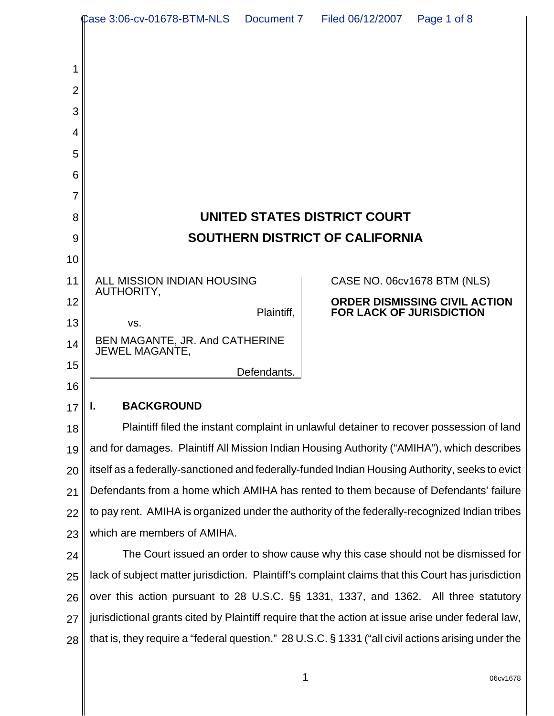|                | Case 3:06-cv-01678-BTM-NLS<br>Document 7                                                           | Filed 06/12/2007<br>Page 1 of 8                                                                       |  |
|----------------|----------------------------------------------------------------------------------------------------|-------------------------------------------------------------------------------------------------------|--|
|                |                                                                                                    |                                                                                                       |  |
| 1              |                                                                                                    |                                                                                                       |  |
| $\overline{2}$ |                                                                                                    |                                                                                                       |  |
| 3              |                                                                                                    |                                                                                                       |  |
| 4              |                                                                                                    |                                                                                                       |  |
| 5              |                                                                                                    |                                                                                                       |  |
| 6              |                                                                                                    |                                                                                                       |  |
| 7              |                                                                                                    |                                                                                                       |  |
| 8              |                                                                                                    | UNITED STATES DISTRICT COURT                                                                          |  |
| 9              |                                                                                                    | <b>SOUTHERN DISTRICT OF CALIFORNIA</b>                                                                |  |
| 10             |                                                                                                    |                                                                                                       |  |
| 11             | ALL MISSION INDIAN HOUSING<br>AUTHORITY,                                                           | CASE NO. 06cv1678 BTM (NLS)                                                                           |  |
| 12             | Plaintiff,                                                                                         | ORDER DISMISSING CIVIL ACTION<br><b>FOR LACK OF JURISDICTION</b>                                      |  |
| 13             | VS.                                                                                                |                                                                                                       |  |
| 14             | BEN MAGANTE, JR. And CATHERINE<br><b>JEWEL MAGANTE,</b>                                            |                                                                                                       |  |
| 15             | Defendants.                                                                                        |                                                                                                       |  |
| 16             |                                                                                                    |                                                                                                       |  |
| 17             | <b>BACKGROUND</b><br>ı.                                                                            |                                                                                                       |  |
| 18             | Plaintiff filed the instant complaint in unlawful detainer to recover possession of land           |                                                                                                       |  |
| 19             | and for damages. Plaintiff All Mission Indian Housing Authority ("AMIHA"), which describes         |                                                                                                       |  |
| 20             | itself as a federally-sanctioned and federally-funded Indian Housing Authority, seeks to evict     |                                                                                                       |  |
| 21             | Defendants from a home which AMIHA has rented to them because of Defendants' failure               |                                                                                                       |  |
| 22             | to pay rent. AMIHA is organized under the authority of the federally-recognized Indian tribes      |                                                                                                       |  |
| 23             | which are members of AMIHA.                                                                        |                                                                                                       |  |
| 24             | The Court issued an order to show cause why this case should not be dismissed for                  |                                                                                                       |  |
| 25             | lack of subject matter jurisdiction. Plaintiff's complaint claims that this Court has jurisdiction |                                                                                                       |  |
| 26             | over this action pursuant to 28 U.S.C. §§ 1331, 1337, and 1362. All three statutory                |                                                                                                       |  |
| 27             | jurisdictional grants cited by Plaintiff require that the action at issue arise under federal law, |                                                                                                       |  |
| 28             |                                                                                                    | that is, they require a "federal question." 28 U.S.C. $\S$ 1331 ("all civil actions arising under the |  |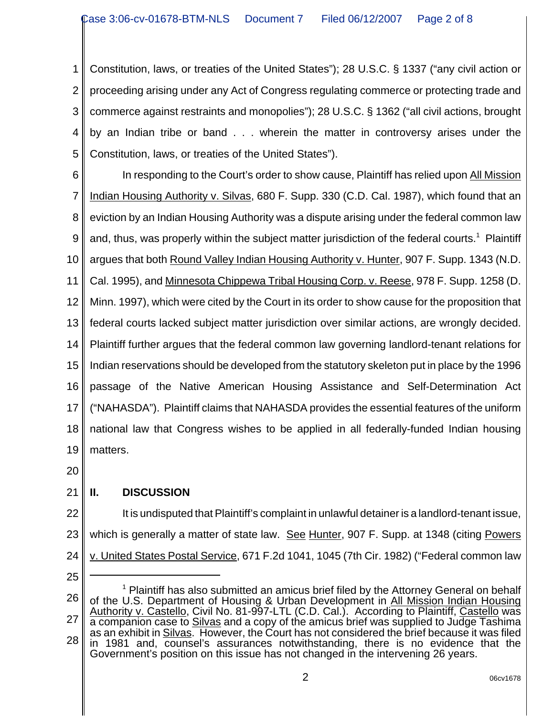1 2 3 4 5 Constitution, laws, or treaties of the United States"); 28 U.S.C. § 1337 ("any civil action or proceeding arising under any Act of Congress regulating commerce or protecting trade and commerce against restraints and monopolies"); 28 U.S.C. § 1362 ("all civil actions, brought by an Indian tribe or band . . . wherein the matter in controversy arises under the Constitution, laws, or treaties of the United States").

6

7 8 9 10 11 12 13 14 15 16 17 18 19 In responding to the Court's order to show cause, Plaintiff has relied upon All Mission Indian Housing Authority v. Silvas, 680 F. Supp. 330 (C.D. Cal. 1987), which found that an eviction by an Indian Housing Authority was a dispute arising under the federal common law and, thus, was properly within the subject matter jurisdiction of the federal courts.<sup>1</sup> Plaintiff argues that both Round Valley Indian Housing Authority v. Hunter, 907 F. Supp. 1343 (N.D. Cal. 1995), and Minnesota Chippewa Tribal Housing Corp. v. Reese, 978 F. Supp. 1258 (D. Minn. 1997), which were cited by the Court in its order to show cause for the proposition that federal courts lacked subject matter jurisdiction over similar actions, are wrongly decided. Plaintiff further argues that the federal common law governing landlord-tenant relations for Indian reservations should be developed from the statutory skeleton put in place by the 1996 passage of the Native American Housing Assistance and Self-Determination Act ("NAHASDA"). Plaintiff claims that NAHASDA provides the essential features of the uniform national law that Congress wishes to be applied in all federally-funded Indian housing matters.

20

## 21 **II. DISCUSSION**

22 23 24 It is undisputed that Plaintiff's complaint in unlawful detainer is a landlord-tenant issue, which is generally a matter of state law. See Hunter, 907 F. Supp. at 1348 (citing Powers v. United States Postal Service, 671 F.2d 1041, 1045 (7th Cir. 1982) ("Federal common law

25

<sup>26</sup> 27 28 <sup>1</sup> Plaintiff has also submitted an amicus brief filed by the Attorney General on behalf of the U.S. Department of Housing & Urban Development in All Mission Indian Housing Authority v. Castello, Civil No. 81-997-LTL (C.D. Cal.). According to Plaintiff, Castello was a companion case to Silvas and a copy of the amicus brief was supplied to Judge Tashima as an exhibit in Silvas. However, the Court has not considered the brief because it was filed in 1981 and, counsel's assurances notwithstanding, there is no evidence that the Government's position on this issue has not changed in the intervening 26 years.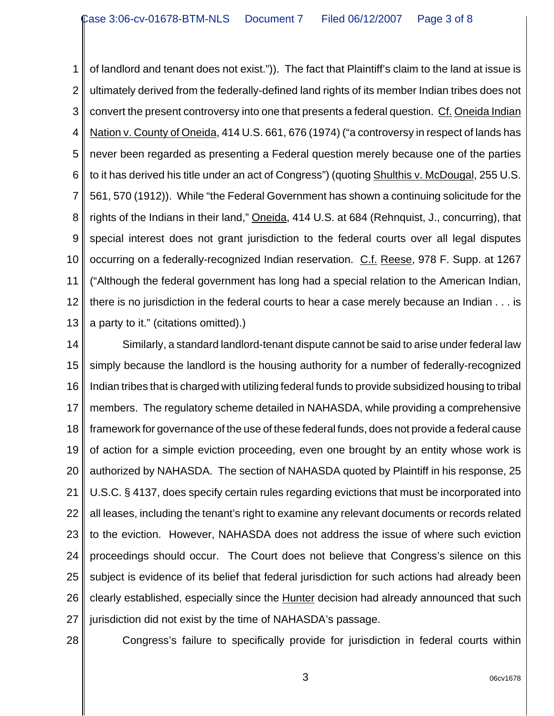1 2 3 4 5 6 7 8 9 10 11 12 13 of landlord and tenant does not exist.")). The fact that Plaintiff's claim to the land at issue is ultimately derived from the federally-defined land rights of its member Indian tribes does not convert the present controversy into one that presents a federal question. Cf. Oneida Indian Nation v. County of Oneida, 414 U.S. 661, 676 (1974) ("a controversy in respect of lands has never been regarded as presenting a Federal question merely because one of the parties to it has derived his title under an act of Congress") (quoting Shulthis v. McDougal, 255 U.S. 561, 570 (1912)). While "the Federal Government has shown a continuing solicitude for the rights of the Indians in their land," Oneida, 414 U.S. at 684 (Rehnquist, J., concurring), that special interest does not grant jurisdiction to the federal courts over all legal disputes occurring on a federally-recognized Indian reservation. C.f. Reese, 978 F. Supp. at 1267 ("Although the federal government has long had a special relation to the American Indian, there is no jurisdiction in the federal courts to hear a case merely because an Indian . . . is a party to it." (citations omitted).)

14 15 16 17 18 19 20 21 22 23 24 25 26 27 Similarly, a standard landlord-tenant dispute cannot be said to arise under federal law simply because the landlord is the housing authority for a number of federally-recognized Indian tribes that is charged with utilizing federal funds to provide subsidized housing to tribal members. The regulatory scheme detailed in NAHASDA, while providing a comprehensive framework for governance of the use of these federal funds, does not provide a federal cause of action for a simple eviction proceeding, even one brought by an entity whose work is authorized by NAHASDA. The section of NAHASDA quoted by Plaintiff in his response, 25 U.S.C. § 4137, does specify certain rules regarding evictions that must be incorporated into all leases, including the tenant's right to examine any relevant documents or records related to the eviction. However, NAHASDA does not address the issue of where such eviction proceedings should occur. The Court does not believe that Congress's silence on this subject is evidence of its belief that federal jurisdiction for such actions had already been clearly established, especially since the Hunter decision had already announced that such jurisdiction did not exist by the time of NAHASDA's passage.

28

Congress's failure to specifically provide for jurisdiction in federal courts within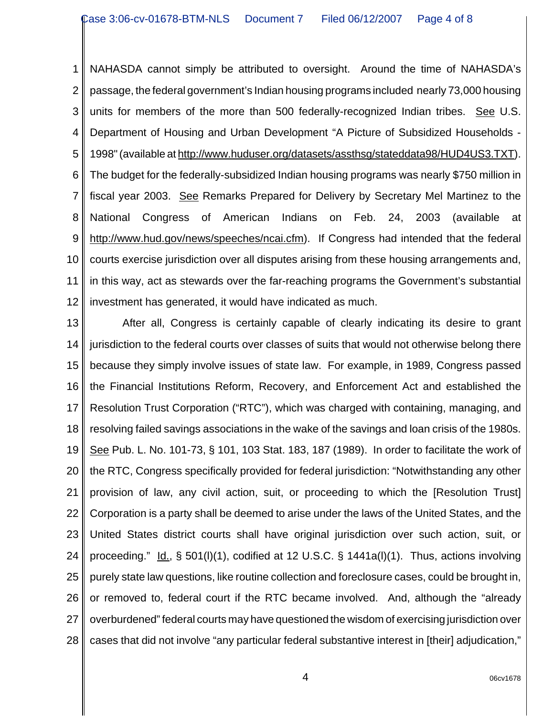1 2 3 4 5 6 7 8 9 10 11 12 NAHASDA cannot simply be attributed to oversight. Around the time of NAHASDA's passage, the federal government's Indian housing programs included nearly 73,000 housing units for members of the more than 500 federally-recognized Indian tribes. See U.S. Department of Housing and Urban Development "A Picture of Subsidized Households - 1998" (available at http://www.huduser.org/datasets/assthsg/stateddata98/HUD4US3.TXT). The budget for the federally-subsidized Indian housing programs was nearly \$750 million in fiscal year 2003. See Remarks Prepared for Delivery by Secretary Mel Martinez to the National Congress of American Indians on Feb. 24, 2003 (available at http://www.hud.gov/news/speeches/ncai.cfm). If Congress had intended that the federal courts exercise jurisdiction over all disputes arising from these housing arrangements and, in this way, act as stewards over the far-reaching programs the Government's substantial investment has generated, it would have indicated as much.

13 14 15 16 17 18 19 20 21 22 23 24 25 26 27 28 After all, Congress is certainly capable of clearly indicating its desire to grant jurisdiction to the federal courts over classes of suits that would not otherwise belong there because they simply involve issues of state law. For example, in 1989, Congress passed the Financial Institutions Reform, Recovery, and Enforcement Act and established the Resolution Trust Corporation ("RTC"), which was charged with containing, managing, and resolving failed savings associations in the wake of the savings and loan crisis of the 1980s. See Pub. L. No. 101-73, § 101, 103 Stat. 183, 187 (1989). In order to facilitate the work of the RTC, Congress specifically provided for federal jurisdiction: "Notwithstanding any other provision of law, any civil action, suit, or proceeding to which the [Resolution Trust] Corporation is a party shall be deemed to arise under the laws of the United States, and the United States district courts shall have original jurisdiction over such action, suit, or proceeding." Id., § 501(I)(1), codified at 12 U.S.C. § 1441a(I)(1). Thus, actions involving purely state law questions, like routine collection and foreclosure cases, could be brought in, or removed to, federal court if the RTC became involved. And, although the "already overburdened" federal courts may have questioned the wisdom of exercising jurisdiction over cases that did not involve "any particular federal substantive interest in [their] adjudication,"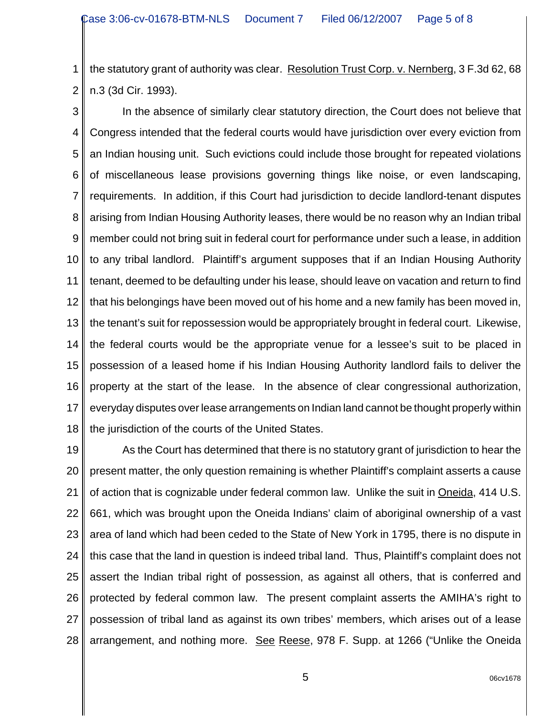1 2 the statutory grant of authority was clear. Resolution Trust Corp. v. Nernberg, 3 F.3d 62, 68 n.3 (3d Cir. 1993).

3 4 5 6 7 8 9 10 11 12 13 14 15 16 17 18 In the absence of similarly clear statutory direction, the Court does not believe that Congress intended that the federal courts would have jurisdiction over every eviction from an Indian housing unit. Such evictions could include those brought for repeated violations of miscellaneous lease provisions governing things like noise, or even landscaping, requirements. In addition, if this Court had jurisdiction to decide landlord-tenant disputes arising from Indian Housing Authority leases, there would be no reason why an Indian tribal member could not bring suit in federal court for performance under such a lease, in addition to any tribal landlord. Plaintiff's argument supposes that if an Indian Housing Authority tenant, deemed to be defaulting under his lease, should leave on vacation and return to find that his belongings have been moved out of his home and a new family has been moved in, the tenant's suit for repossession would be appropriately brought in federal court. Likewise, the federal courts would be the appropriate venue for a lessee's suit to be placed in possession of a leased home if his Indian Housing Authority landlord fails to deliver the property at the start of the lease. In the absence of clear congressional authorization, everyday disputes over lease arrangements on Indian land cannot be thought properly within the jurisdiction of the courts of the United States.

19 20 21 22 23 24 25 26 27 28 As the Court has determined that there is no statutory grant of jurisdiction to hear the present matter, the only question remaining is whether Plaintiff's complaint asserts a cause of action that is cognizable under federal common law. Unlike the suit in Oneida, 414 U.S. 661, which was brought upon the Oneida Indians' claim of aboriginal ownership of a vast area of land which had been ceded to the State of New York in 1795, there is no dispute in this case that the land in question is indeed tribal land. Thus, Plaintiff's complaint does not assert the Indian tribal right of possession, as against all others, that is conferred and protected by federal common law. The present complaint asserts the AMIHA's right to possession of tribal land as against its own tribes' members, which arises out of a lease arrangement, and nothing more. See Reese, 978 F. Supp. at 1266 ("Unlike the Oneida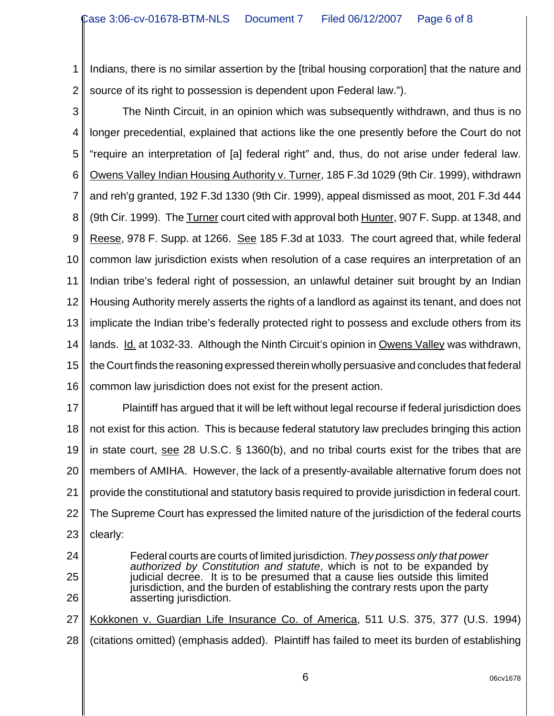1 2 Indians, there is no similar assertion by the [tribal housing corporation] that the nature and source of its right to possession is dependent upon Federal law.").

3

4 5 6 7 8 9 10 11 12 13 14 15 16 The Ninth Circuit, in an opinion which was subsequently withdrawn, and thus is no longer precedential, explained that actions like the one presently before the Court do not "require an interpretation of [a] federal right" and, thus, do not arise under federal law. Owens Valley Indian Housing Authority v. Turner, 185 F.3d 1029 (9th Cir. 1999), withdrawn and reh'g granted, 192 F.3d 1330 (9th Cir. 1999), appeal dismissed as moot, 201 F.3d 444 (9th Cir. 1999). The Turner court cited with approval both Hunter, 907 F. Supp. at 1348, and Reese, 978 F. Supp. at 1266. See 185 F.3d at 1033. The court agreed that, while federal common law jurisdiction exists when resolution of a case requires an interpretation of an Indian tribe's federal right of possession, an unlawful detainer suit brought by an Indian Housing Authority merely asserts the rights of a landlord as against its tenant, and does not implicate the Indian tribe's federally protected right to possess and exclude others from its lands. Id. at 1032-33. Although the Ninth Circuit's opinion in Owens Valley was withdrawn, the Court finds the reasoning expressed therein wholly persuasive and concludes that federal common law jurisdiction does not exist for the present action.

17 18 19 20 21 22 23 Plaintiff has argued that it will be left without legal recourse if federal jurisdiction does not exist for this action. This is because federal statutory law precludes bringing this action in state court, see 28 U.S.C. § 1360(b), and no tribal courts exist for the tribes that are members of AMIHA. However, the lack of a presently-available alternative forum does not provide the constitutional and statutory basis required to provide jurisdiction in federal court. The Supreme Court has expressed the limited nature of the jurisdiction of the federal courts clearly:

- 24
- 25

26

27

jurisdiction, and the burden of establishing the contrary rests upon the party asserting jurisdiction. Kokkonen v. Guardian Life Insurance Co. of America, 511 U.S. 375, 377 (U.S. 1994)

Federal courts are courts of limited jurisdiction. *They possess only that power authorized by Constitution and statute*, which is not to be expanded by judicial decree. It is to be presumed that a cause lies outside this limited

28 (citations omitted) (emphasis added). Plaintiff has failed to meet its burden of establishing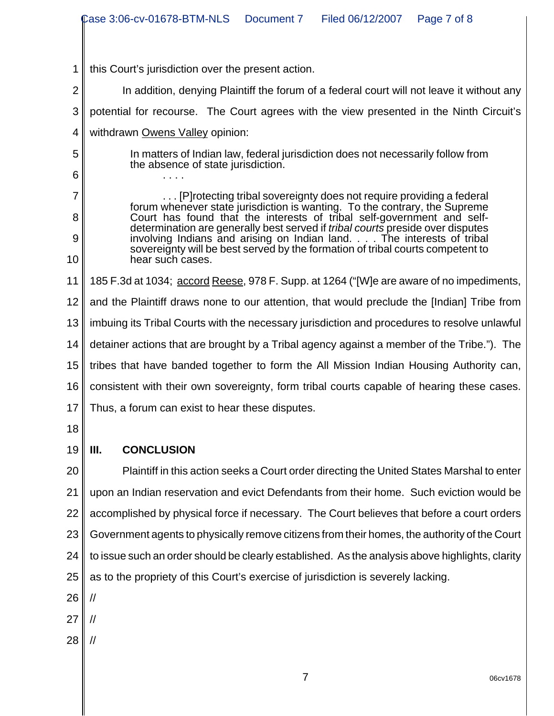|                | Case 3:06-cv-01678-BTM-NLS<br>Filed 06/12/2007<br>Document 7<br>Page 7 of 8                                                                                    |  |  |  |
|----------------|----------------------------------------------------------------------------------------------------------------------------------------------------------------|--|--|--|
|                |                                                                                                                                                                |  |  |  |
|                |                                                                                                                                                                |  |  |  |
| 1              | this Court's jurisdiction over the present action.                                                                                                             |  |  |  |
| $\overline{2}$ | In addition, denying Plaintiff the forum of a federal court will not leave it without any                                                                      |  |  |  |
| 3              | potential for recourse. The Court agrees with the view presented in the Ninth Circuit's                                                                        |  |  |  |
| 4              | withdrawn Owens Valley opinion:                                                                                                                                |  |  |  |
| 5<br>6         | In matters of Indian law, federal jurisdiction does not necessarily follow from<br>the absence of state jurisdiction.                                          |  |  |  |
| 7              | [P] rotecting tribal sovereignty does not require providing a federal                                                                                          |  |  |  |
| 8              | forum whenever state jurisdiction is wanting. To the contrary, the Supreme<br>Court has found that the interests of tribal self-government and self-           |  |  |  |
| 9              | determination are generally best served if <i>tribal courts</i> preside over disputes<br>involving Indians and arising on Indian land. The interests of tribal |  |  |  |
| 10             | sovereignty will be best served by the formation of tribal courts competent to<br>hear such cases.                                                             |  |  |  |
| 11             | 185 F.3d at 1034; accord Reese, 978 F. Supp. at 1264 ("[W]e are aware of no impediments,                                                                       |  |  |  |
| 12             | and the Plaintiff draws none to our attention, that would preclude the [Indian] Tribe from                                                                     |  |  |  |
| 13             | imbuing its Tribal Courts with the necessary jurisdiction and procedures to resolve unlawful                                                                   |  |  |  |
| 14             | detainer actions that are brought by a Tribal agency against a member of the Tribe."). The                                                                     |  |  |  |
| 15             | tribes that have banded together to form the All Mission Indian Housing Authority can,                                                                         |  |  |  |
| 16             | consistent with their own sovereignty, form tribal courts capable of hearing these cases.                                                                      |  |  |  |
|                | 17 Thus, a forum can exist to hear these disputes.                                                                                                             |  |  |  |
| 18             |                                                                                                                                                                |  |  |  |
| 19             | <b>CONCLUSION</b><br>III.                                                                                                                                      |  |  |  |
| 20             | Plaintiff in this action seeks a Court order directing the United States Marshal to enter                                                                      |  |  |  |
| 21             | upon an Indian reservation and evict Defendants from their home. Such eviction would be                                                                        |  |  |  |
| 22             | accomplished by physical force if necessary. The Court believes that before a court orders                                                                     |  |  |  |
| 23             | Government agents to physically remove citizens from their homes, the authority of the Court                                                                   |  |  |  |
| 24             | to issue such an order should be clearly established. As the analysis above highlights, clarity                                                                |  |  |  |
| 25             | as to the propriety of this Court's exercise of jurisdiction is severely lacking.                                                                              |  |  |  |
| 26             | //                                                                                                                                                             |  |  |  |
| 27             | //                                                                                                                                                             |  |  |  |
| 28             | //                                                                                                                                                             |  |  |  |
|                |                                                                                                                                                                |  |  |  |